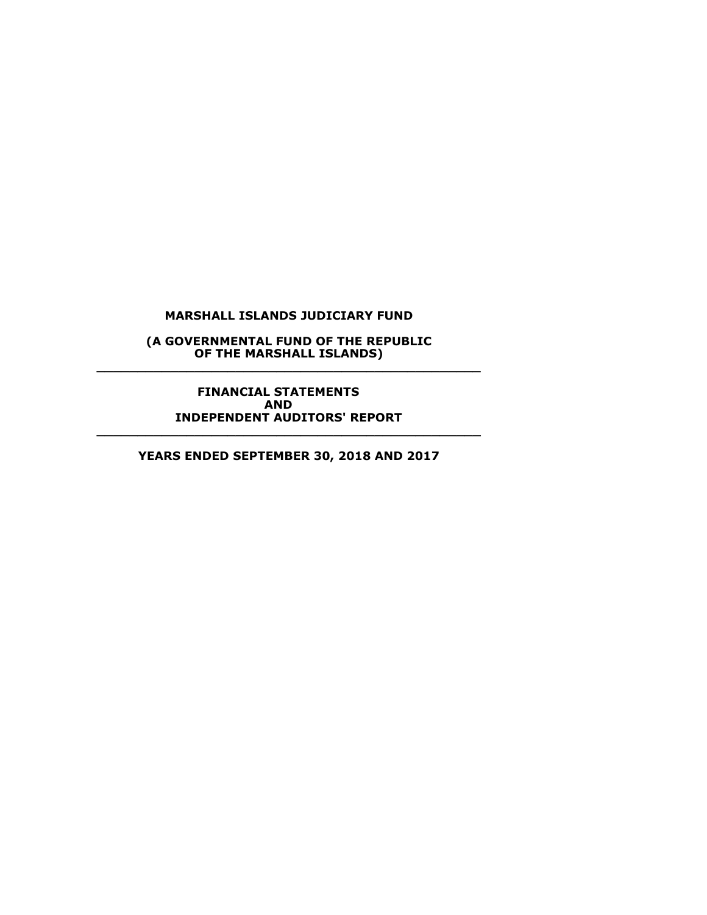**(A GOVERNMENTAL FUND OF THE REPUBLIC OF THE MARSHALL ISLANDS) \_\_\_\_\_\_\_\_\_\_\_\_\_\_\_\_\_\_\_\_\_\_\_\_\_\_\_\_\_\_\_\_\_\_\_\_\_\_\_\_\_\_\_\_\_\_\_**

**FINANCIAL STATEMENTS AND INDEPENDENT AUDITORS' REPORT \_\_\_\_\_\_\_\_\_\_\_\_\_\_\_\_\_\_\_\_\_\_\_\_\_\_\_\_\_\_\_\_\_\_\_\_\_\_\_\_\_\_\_\_\_\_\_**

**YEARS ENDED SEPTEMBER 30, 2018 AND 2017**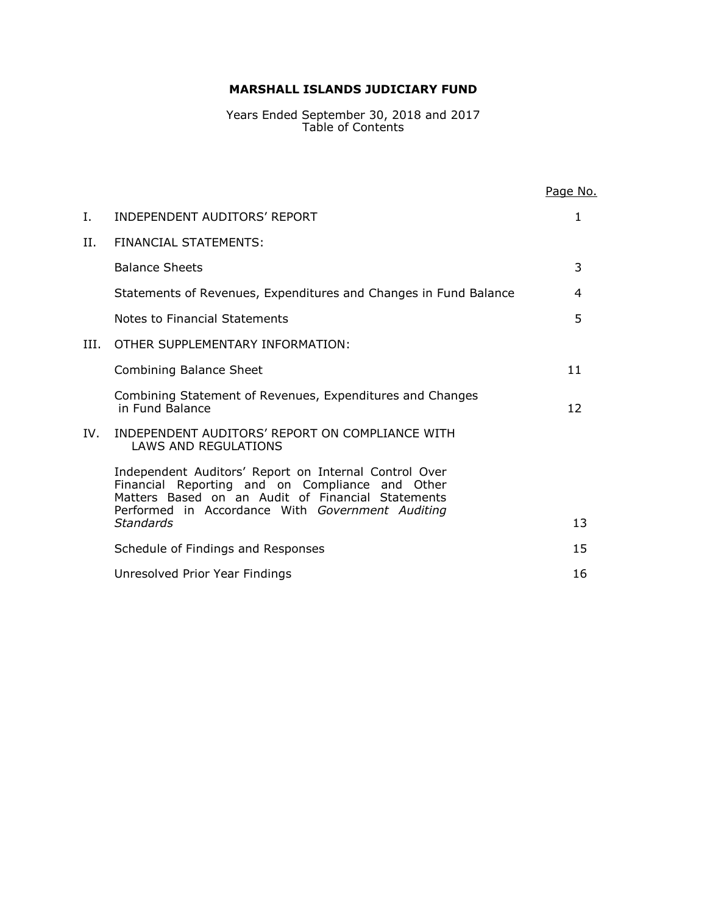Years Ended September 30, 2018 and 2017 Table of Contents

|     |                                                                                                                                                                                                                   | Page No. |
|-----|-------------------------------------------------------------------------------------------------------------------------------------------------------------------------------------------------------------------|----------|
| Ι.  | <b>INDEPENDENT AUDITORS' REPORT</b>                                                                                                                                                                               | 1        |
| П.  | FINANCIAL STATEMENTS:                                                                                                                                                                                             |          |
|     | <b>Balance Sheets</b>                                                                                                                                                                                             | 3        |
|     | Statements of Revenues, Expenditures and Changes in Fund Balance                                                                                                                                                  | 4        |
|     | Notes to Financial Statements                                                                                                                                                                                     | 5        |
| Ш.  | OTHER SUPPLEMENTARY INFORMATION:                                                                                                                                                                                  |          |
|     | <b>Combining Balance Sheet</b>                                                                                                                                                                                    | 11       |
|     | Combining Statement of Revenues, Expenditures and Changes<br>in Fund Balance                                                                                                                                      | 12       |
| IV. | INDEPENDENT AUDITORS' REPORT ON COMPLIANCE WITH<br><b>LAWS AND REGULATIONS</b>                                                                                                                                    |          |
|     | Independent Auditors' Report on Internal Control Over<br>Financial Reporting and on Compliance and Other<br>Matters Based on an Audit of Financial Statements<br>Performed in Accordance With Government Auditing |          |
|     | <b>Standards</b>                                                                                                                                                                                                  | 13       |
|     | Schedule of Findings and Responses                                                                                                                                                                                | 15       |
|     | Unresolved Prior Year Findings                                                                                                                                                                                    | 16       |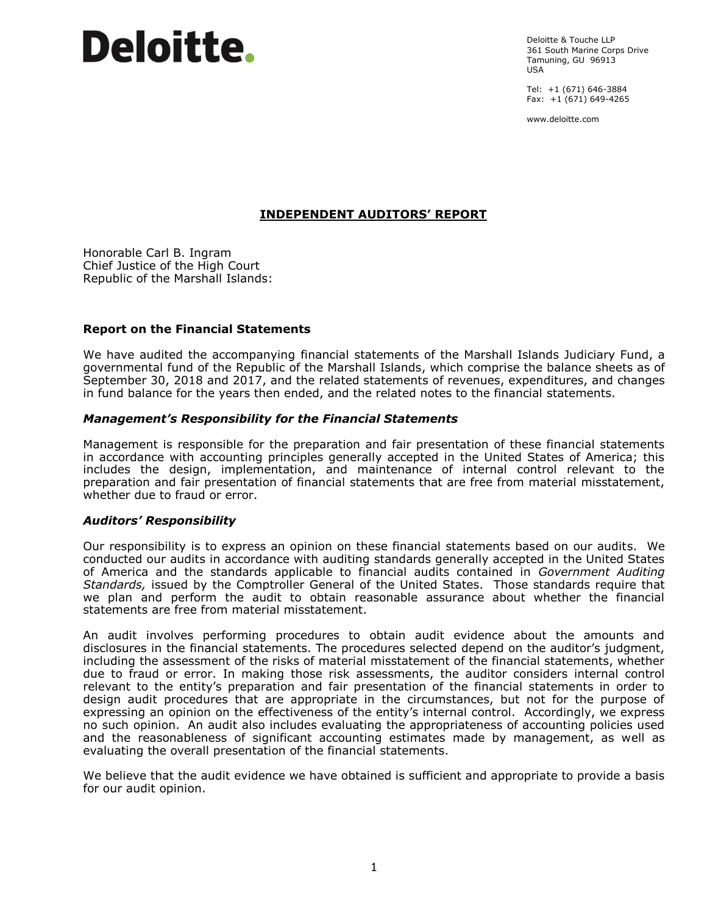Deloitte & Touche LLP 361 South Marine Corps Drive Tamuning, GU 96913 USA

Tel: +1 (671) 646-3884 Fax: +1 (671) 649-4265

www.deloitte.com

# **INDEPENDENT AUDITORS' REPORT**

Honorable Carl B. Ingram Chief Justice of the High Court Republic of the Marshall Islands:

#### **Report on the Financial Statements**

We have audited the accompanying financial statements of the Marshall Islands Judiciary Fund, a governmental fund of the Republic of the Marshall Islands, which comprise the balance sheets as of September 30, 2018 and 2017, and the related statements of revenues, expenditures, and changes in fund balance for the years then ended, and the related notes to the financial statements.

#### *Management's Responsibility for the Financial Statements*

Management is responsible for the preparation and fair presentation of these financial statements in accordance with accounting principles generally accepted in the United States of America; this includes the design, implementation, and maintenance of internal control relevant to the preparation and fair presentation of financial statements that are free from material misstatement, whether due to fraud or error.

#### *Auditors' Responsibility*

Our responsibility is to express an opinion on these financial statements based on our audits. We conducted our audits in accordance with auditing standards generally accepted in the United States of America and the standards applicable to financial audits contained in *Government Auditing Standards,* issued by the Comptroller General of the United States. Those standards require that we plan and perform the audit to obtain reasonable assurance about whether the financial statements are free from material misstatement.

An audit involves performing procedures to obtain audit evidence about the amounts and disclosures in the financial statements. The procedures selected depend on the auditor's judgment, including the assessment of the risks of material misstatement of the financial statements, whether due to fraud or error. In making those risk assessments, the auditor considers internal control relevant to the entity's preparation and fair presentation of the financial statements in order to design audit procedures that are appropriate in the circumstances, but not for the purpose of expressing an opinion on the effectiveness of the entity's internal control. Accordingly, we express no such opinion. An audit also includes evaluating the appropriateness of accounting policies used and the reasonableness of significant accounting estimates made by management, as well as evaluating the overall presentation of the financial statements.

We believe that the audit evidence we have obtained is sufficient and appropriate to provide a basis for our audit opinion.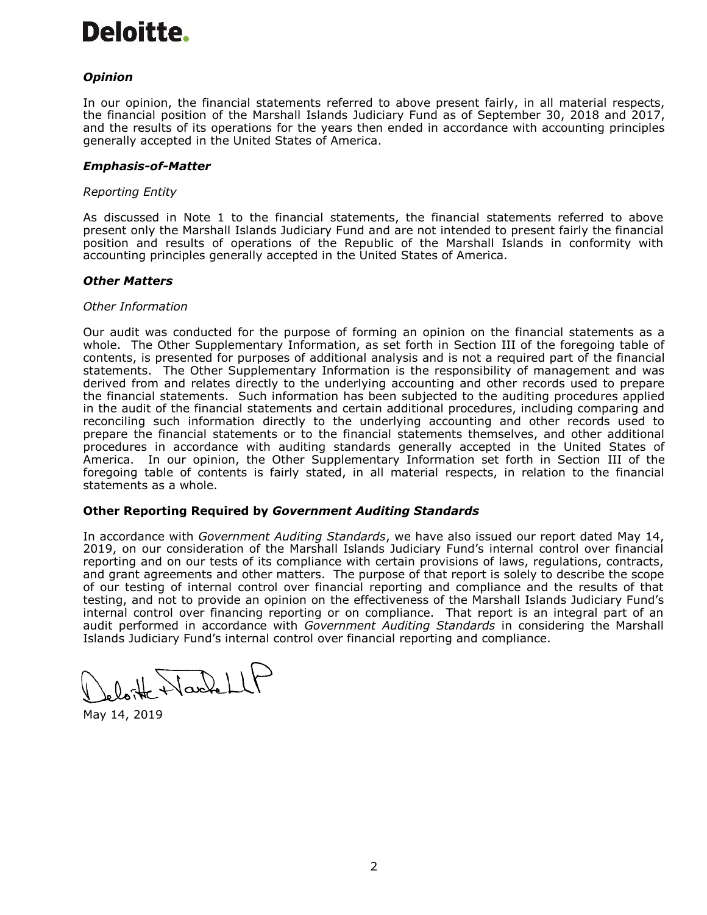# *Opinion*

In our opinion, the financial statements referred to above present fairly, in all material respects, the financial position of the Marshall Islands Judiciary Fund as of September 30, 2018 and 2017, and the results of its operations for the years then ended in accordance with accounting principles generally accepted in the United States of America.

#### *Emphasis-of-Matter*

#### *Reporting Entity*

As discussed in Note 1 to the financial statements, the financial statements referred to above present only the Marshall Islands Judiciary Fund and are not intended to present fairly the financial position and results of operations of the Republic of the Marshall Islands in conformity with accounting principles generally accepted in the United States of America.

#### *Other Matters*

#### *Other Information*

Our audit was conducted for the purpose of forming an opinion on the financial statements as a whole. The Other Supplementary Information, as set forth in Section III of the foregoing table of contents, is presented for purposes of additional analysis and is not a required part of the financial statements. The Other Supplementary Information is the responsibility of management and was derived from and relates directly to the underlying accounting and other records used to prepare the financial statements. Such information has been subjected to the auditing procedures applied in the audit of the financial statements and certain additional procedures, including comparing and reconciling such information directly to the underlying accounting and other records used to prepare the financial statements or to the financial statements themselves, and other additional procedures in accordance with auditing standards generally accepted in the United States of America. In our opinion, the Other Supplementary Information set forth in Section III of the foregoing table of contents is fairly stated, in all material respects, in relation to the financial statements as a whole.

#### **Other Reporting Required by** *Government Auditing Standards*

In accordance with *Government Auditing Standards*, we have also issued our report dated May 14, 2019, on our consideration of the Marshall Islands Judiciary Fund's internal control over financial reporting and on our tests of its compliance with certain provisions of laws, regulations, contracts, and grant agreements and other matters. The purpose of that report is solely to describe the scope of our testing of internal control over financial reporting and compliance and the results of that testing, and not to provide an opinion on the effectiveness of the Marshall Islands Judiciary Fund's internal control over financing reporting or on compliance. That report is an integral part of an audit performed in accordance with *Government Auditing Standards* in considering the Marshall Islands Judiciary Fund's internal control over financial reporting and compliance.

He Wackell

May 14, 2019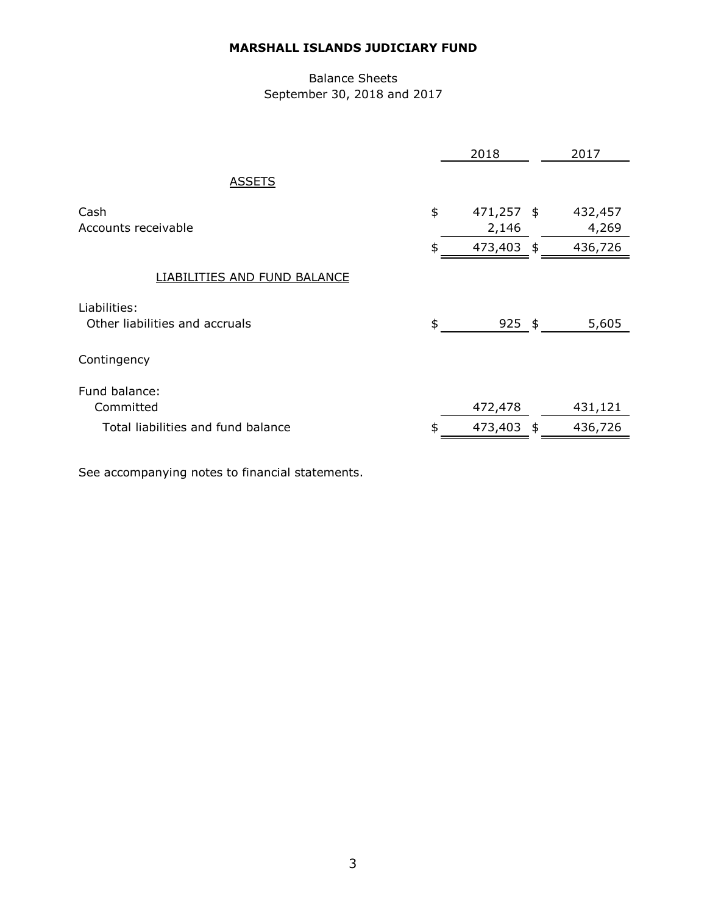# Balance Sheets September 30, 2018 and 2017

|                                                | 2018                      | 2017             |
|------------------------------------------------|---------------------------|------------------|
| <b>ASSETS</b>                                  |                           |                  |
| Cash<br>Accounts receivable                    | \$<br>471,257 \$<br>2,146 | 432,457<br>4,269 |
|                                                | \$<br>473,403 \$          | 436,726          |
| <b>LIABILITIES AND FUND BALANCE</b>            |                           |                  |
| Liabilities:<br>Other liabilities and accruals | \$<br>$925$ \$            | 5,605            |
| Contingency                                    |                           |                  |
| Fund balance:<br>Committed                     | 472,478                   | 431,121          |
| Total liabilities and fund balance             | \$<br>473,403<br>\$       | 436,726          |
|                                                |                           |                  |

See accompanying notes to financial statements.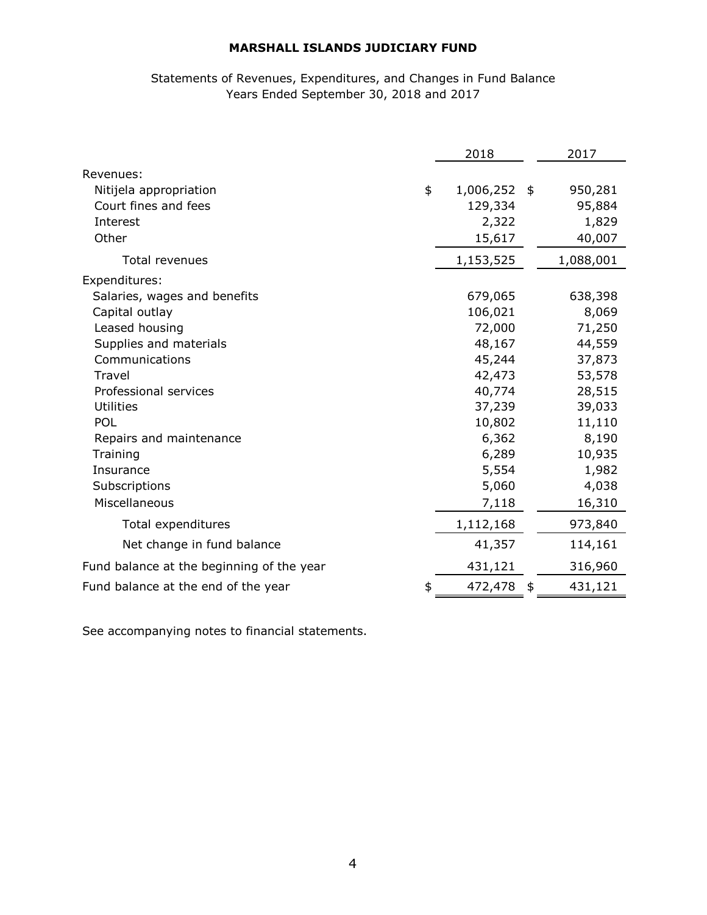# Statements of Revenues, Expenditures, and Changes in Fund Balance Years Ended September 30, 2018 and 2017

|                                           | 2018               | 2017          |
|-------------------------------------------|--------------------|---------------|
| Revenues:                                 |                    |               |
| Nitijela appropriation                    | \$<br>1,006,252 \$ | 950,281       |
| Court fines and fees                      | 129,334            | 95,884        |
| Interest                                  | 2,322              | 1,829         |
| Other                                     | 15,617             | 40,007        |
| Total revenues                            | 1,153,525          | 1,088,001     |
| Expenditures:                             |                    |               |
| Salaries, wages and benefits              | 679,065            | 638,398       |
| Capital outlay                            | 106,021            | 8,069         |
| Leased housing                            | 72,000             | 71,250        |
| Supplies and materials                    | 48,167             | 44,559        |
| Communications                            | 45,244             | 37,873        |
| Travel                                    | 42,473             | 53,578        |
| Professional services                     | 40,774             | 28,515        |
| Utilities                                 | 37,239             | 39,033        |
| POL                                       | 10,802             | 11,110        |
| Repairs and maintenance                   | 6,362              | 8,190         |
| Training                                  | 6,289              | 10,935        |
| Insurance                                 | 5,554              | 1,982         |
| Subscriptions                             | 5,060              | 4,038         |
| Miscellaneous                             | 7,118              | 16,310        |
| Total expenditures                        | 1,112,168          | 973,840       |
| Net change in fund balance                | 41,357             | 114,161       |
| Fund balance at the beginning of the year | 431,121            | 316,960       |
| Fund balance at the end of the year       | \$<br>472,478      | \$<br>431,121 |

See accompanying notes to financial statements.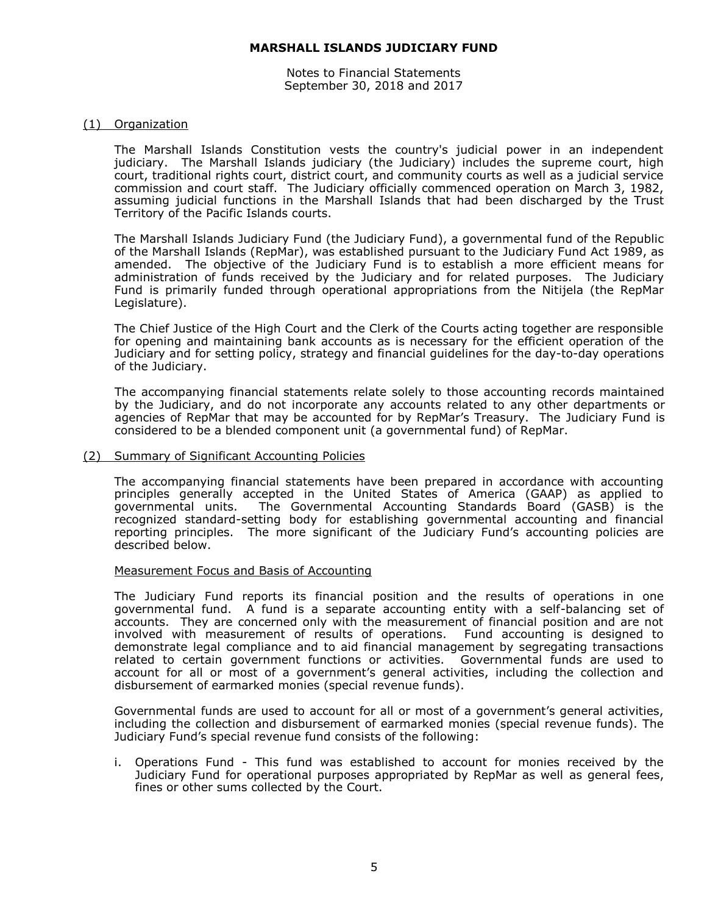Notes to Financial Statements September 30, 2018 and 2017

#### (1) Organization

The Marshall Islands Constitution vests the country's judicial power in an independent judiciary. The Marshall Islands judiciary (the Judiciary) includes the supreme court, high court, traditional rights court, district court, and community courts as well as a judicial service commission and court staff. The Judiciary officially commenced operation on March 3, 1982, assuming judicial functions in the Marshall Islands that had been discharged by the Trust Territory of the Pacific Islands courts.

The Marshall Islands Judiciary Fund (the Judiciary Fund), a governmental fund of the Republic of the Marshall Islands (RepMar), was established pursuant to the Judiciary Fund Act 1989, as amended. The objective of the Judiciary Fund is to establish a more efficient means for administration of funds received by the Judiciary and for related purposes. The Judiciary Fund is primarily funded through operational appropriations from the Nitijela (the RepMar Legislature).

The Chief Justice of the High Court and the Clerk of the Courts acting together are responsible for opening and maintaining bank accounts as is necessary for the efficient operation of the Judiciary and for setting policy, strategy and financial guidelines for the day-to-day operations of the Judiciary.

The accompanying financial statements relate solely to those accounting records maintained by the Judiciary, and do not incorporate any accounts related to any other departments or agencies of RepMar that may be accounted for by RepMar's Treasury. The Judiciary Fund is considered to be a blended component unit (a governmental fund) of RepMar.

#### (2) Summary of Significant Accounting Policies

The accompanying financial statements have been prepared in accordance with accounting principles generally accepted in the United States of America (GAAP) as applied to governmental units. The Governmental Accounting Standards Board (GASB) is the recognized standard-setting body for establishing governmental accounting and financial reporting principles. The more significant of the Judiciary Fund's accounting policies are described below.

#### Measurement Focus and Basis of Accounting

The Judiciary Fund reports its financial position and the results of operations in one governmental fund. A fund is a separate accounting entity with a self-balancing set of accounts. They are concerned only with the measurement of financial position and are not involved with measurement of results of operations. Fund accounting is designed to demonstrate legal compliance and to aid financial management by segregating transactions related to certain government functions or activities. Governmental funds are used to account for all or most of a government's general activities, including the collection and disbursement of earmarked monies (special revenue funds).

Governmental funds are used to account for all or most of a government's general activities, including the collection and disbursement of earmarked monies (special revenue funds). The Judiciary Fund's special revenue fund consists of the following:

i. Operations Fund - This fund was established to account for monies received by the Judiciary Fund for operational purposes appropriated by RepMar as well as general fees, fines or other sums collected by the Court.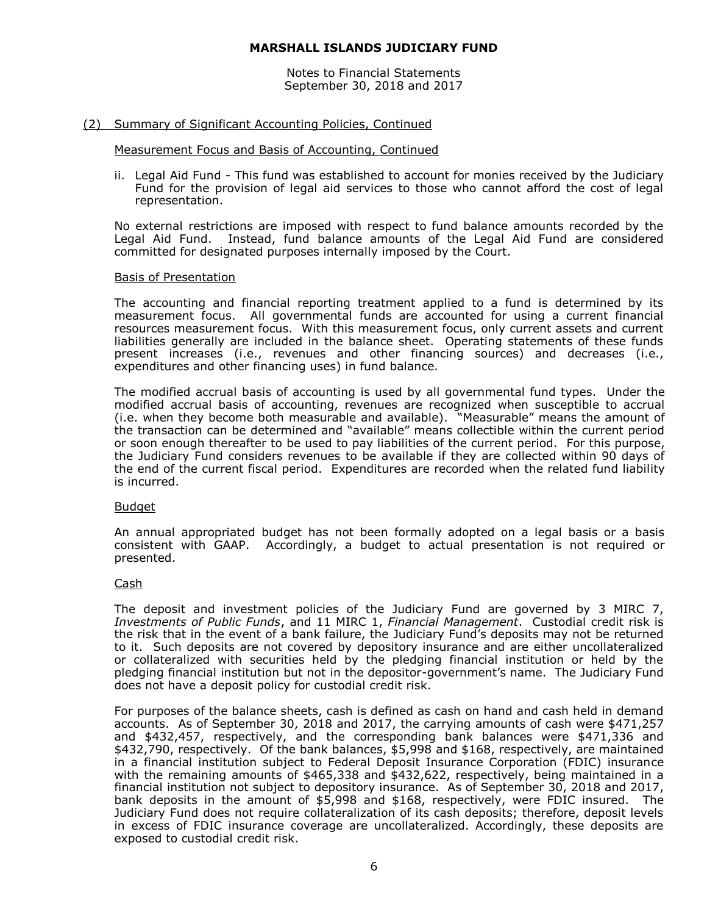Notes to Financial Statements September 30, 2018 and 2017

#### (2) Summary of Significant Accounting Policies, Continued

#### Measurement Focus and Basis of Accounting, Continued

ii. Legal Aid Fund - This fund was established to account for monies received by the Judiciary Fund for the provision of legal aid services to those who cannot afford the cost of legal representation.

No external restrictions are imposed with respect to fund balance amounts recorded by the Legal Aid Fund. Instead, fund balance amounts of the Legal Aid Fund are considered committed for designated purposes internally imposed by the Court.

#### Basis of Presentation

The accounting and financial reporting treatment applied to a fund is determined by its measurement focus. All governmental funds are accounted for using a current financial resources measurement focus. With this measurement focus, only current assets and current liabilities generally are included in the balance sheet. Operating statements of these funds present increases (i.e., revenues and other financing sources) and decreases (i.e., expenditures and other financing uses) in fund balance.

The modified accrual basis of accounting is used by all governmental fund types. Under the modified accrual basis of accounting, revenues are recognized when susceptible to accrual (i.e. when they become both measurable and available). "Measurable" means the amount of the transaction can be determined and "available" means collectible within the current period or soon enough thereafter to be used to pay liabilities of the current period. For this purpose, the Judiciary Fund considers revenues to be available if they are collected within 90 days of the end of the current fiscal period. Expenditures are recorded when the related fund liability is incurred.

#### Budget

An annual appropriated budget has not been formally adopted on a legal basis or a basis consistent with GAAP. Accordingly, a budget to actual presentation is not required or presented.

#### Cash

The deposit and investment policies of the Judiciary Fund are governed by 3 MIRC 7, *Investments of Public Funds*, and 11 MIRC 1, *Financial Management*. Custodial credit risk is the risk that in the event of a bank failure, the Judiciary Fund's deposits may not be returned to it. Such deposits are not covered by depository insurance and are either uncollateralized or collateralized with securities held by the pledging financial institution or held by the pledging financial institution but not in the depositor-government's name. The Judiciary Fund does not have a deposit policy for custodial credit risk.

For purposes of the balance sheets, cash is defined as cash on hand and cash held in demand accounts. As of September 30, 2018 and 2017, the carrying amounts of cash were \$471,257 and \$432,457, respectively, and the corresponding bank balances were \$471,336 and \$432,790, respectively. Of the bank balances, \$5,998 and \$168, respectively, are maintained in a financial institution subject to Federal Deposit Insurance Corporation (FDIC) insurance with the remaining amounts of \$465,338 and \$432,622, respectively, being maintained in a financial institution not subject to depository insurance. As of September 30, 2018 and 2017, bank deposits in the amount of \$5,998 and \$168, respectively, were FDIC insured. The Judiciary Fund does not require collateralization of its cash deposits; therefore, deposit levels in excess of FDIC insurance coverage are uncollateralized. Accordingly, these deposits are exposed to custodial credit risk.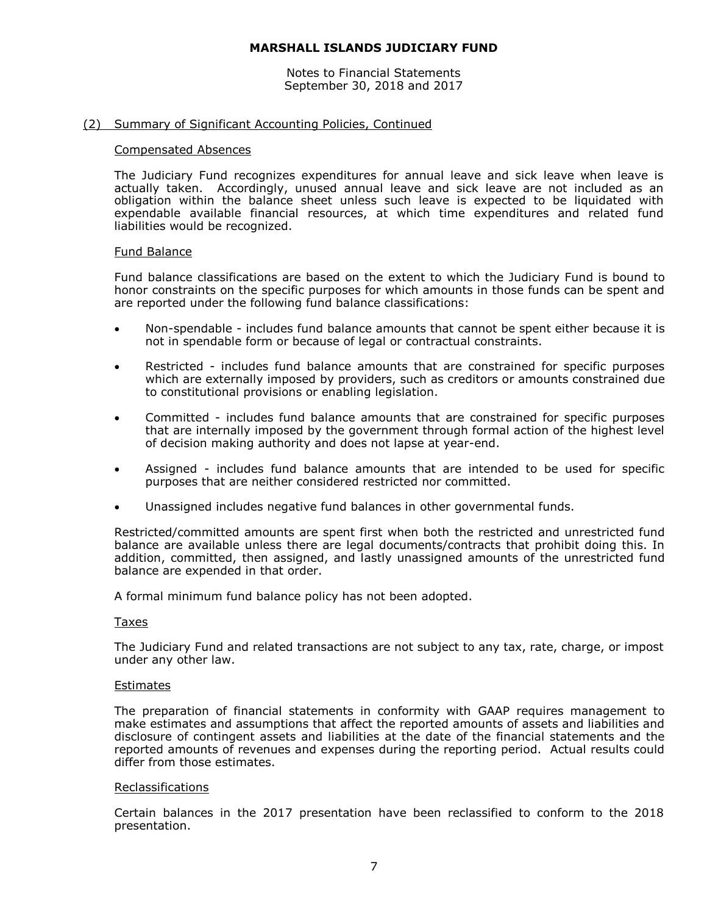Notes to Financial Statements September 30, 2018 and 2017

#### (2) Summary of Significant Accounting Policies, Continued

#### Compensated Absences

The Judiciary Fund recognizes expenditures for annual leave and sick leave when leave is actually taken. Accordingly, unused annual leave and sick leave are not included as an obligation within the balance sheet unless such leave is expected to be liquidated with expendable available financial resources, at which time expenditures and related fund liabilities would be recognized.

#### Fund Balance

Fund balance classifications are based on the extent to which the Judiciary Fund is bound to honor constraints on the specific purposes for which amounts in those funds can be spent and are reported under the following fund balance classifications:

- Non-spendable includes fund balance amounts that cannot be spent either because it is not in spendable form or because of legal or contractual constraints.
- Restricted includes fund balance amounts that are constrained for specific purposes which are externally imposed by providers, such as creditors or amounts constrained due to constitutional provisions or enabling legislation.
- Committed includes fund balance amounts that are constrained for specific purposes that are internally imposed by the government through formal action of the highest level of decision making authority and does not lapse at year-end.
- Assigned includes fund balance amounts that are intended to be used for specific purposes that are neither considered restricted nor committed.
- Unassigned includes negative fund balances in other governmental funds.

Restricted/committed amounts are spent first when both the restricted and unrestricted fund balance are available unless there are legal documents/contracts that prohibit doing this. In addition, committed, then assigned, and lastly unassigned amounts of the unrestricted fund balance are expended in that order.

A formal minimum fund balance policy has not been adopted.

#### Taxes

The Judiciary Fund and related transactions are not subject to any tax, rate, charge, or impost under any other law.

#### Estimates

The preparation of financial statements in conformity with GAAP requires management to make estimates and assumptions that affect the reported amounts of assets and liabilities and disclosure of contingent assets and liabilities at the date of the financial statements and the reported amounts of revenues and expenses during the reporting period. Actual results could differ from those estimates.

#### Reclassifications

Certain balances in the 2017 presentation have been reclassified to conform to the 2018 presentation.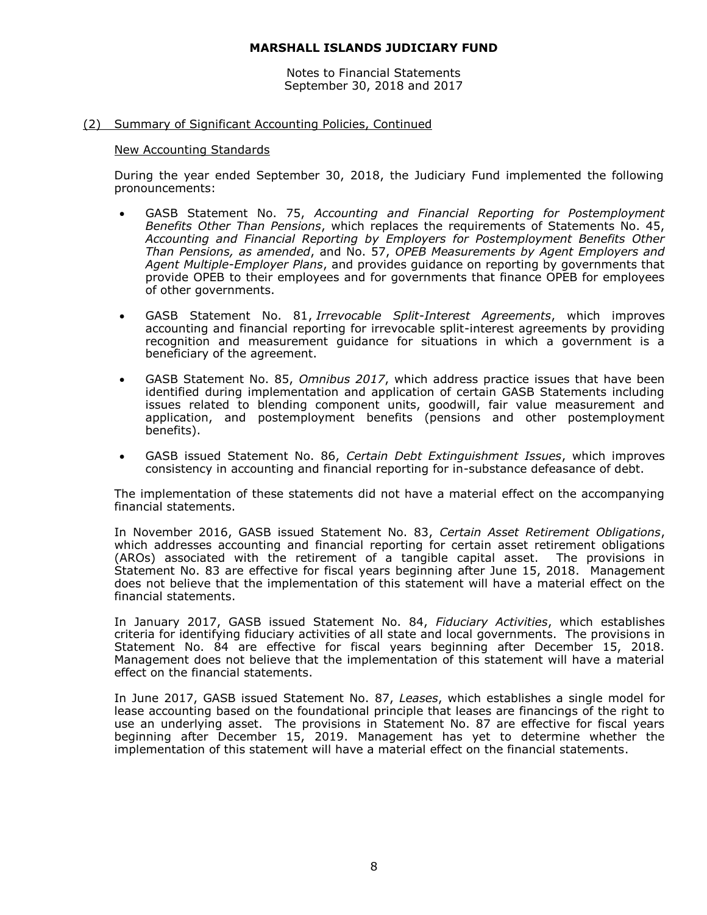Notes to Financial Statements September 30, 2018 and 2017

#### (2) Summary of Significant Accounting Policies, Continued

#### New Accounting Standards

During the year ended September 30, 2018, the Judiciary Fund implemented the following pronouncements:

- GASB Statement No. 75, *Accounting and Financial Reporting for Postemployment Benefits Other Than Pensions*, which replaces the requirements of Statements No. 45, *Accounting and Financial Reporting by Employers for Postemployment Benefits Other Than Pensions, as amended*, and No. 57, *OPEB Measurements by Agent Employers and Agent Multiple-Employer Plans*, and provides guidance on reporting by governments that provide OPEB to their employees and for governments that finance OPEB for employees of other governments.
- GASB Statement No. 81, *Irrevocable Split-Interest Agreements*, which improves accounting and financial reporting for irrevocable split-interest agreements by providing recognition and measurement guidance for situations in which a government is a beneficiary of the agreement.
- GASB Statement No. 85, *Omnibus 2017*, which address practice issues that have been identified during implementation and application of certain GASB Statements including issues related to blending component units, goodwill, fair value measurement and application, and postemployment benefits (pensions and other postemployment benefits).
- GASB issued Statement No. 86, *Certain Debt Extinguishment Issues*, which improves consistency in accounting and financial reporting for in-substance defeasance of debt.

The implementation of these statements did not have a material effect on the accompanying financial statements.

In November 2016, GASB issued Statement No. 83, *Certain Asset Retirement Obligations*, which addresses accounting and financial reporting for certain asset retirement obligations (AROs) associated with the retirement of a tangible capital asset. The provisions in Statement No. 83 are effective for fiscal years beginning after June 15, 2018. Management does not believe that the implementation of this statement will have a material effect on the financial statements.

In January 2017, GASB issued Statement No. 84, *Fiduciary Activities*, which establishes criteria for identifying fiduciary activities of all state and local governments. The provisions in Statement No. 84 are effective for fiscal years beginning after December 15, 2018. Management does not believe that the implementation of this statement will have a material effect on the financial statements.

In June 2017, GASB issued Statement No. 87, *Leases*, which establishes a single model for lease accounting based on the foundational principle that leases are financings of the right to use an underlying asset. The provisions in Statement No. 87 are effective for fiscal years beginning after December 15, 2019. Management has yet to determine whether the implementation of this statement will have a material effect on the financial statements.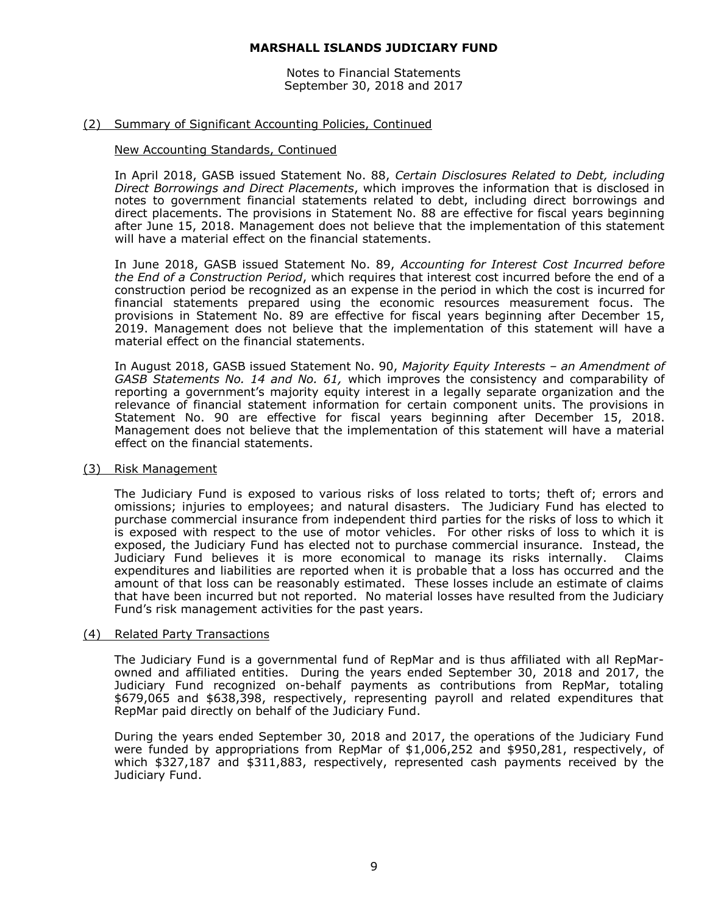Notes to Financial Statements September 30, 2018 and 2017

#### (2) Summary of Significant Accounting Policies, Continued

#### New Accounting Standards, Continued

In April 2018, GASB issued Statement No. 88, *Certain Disclosures Related to Debt, including Direct Borrowings and Direct Placements*, which improves the information that is disclosed in notes to government financial statements related to debt, including direct borrowings and direct placements. The provisions in Statement No. 88 are effective for fiscal years beginning after June 15, 2018. Management does not believe that the implementation of this statement will have a material effect on the financial statements.

In June 2018, GASB issued Statement No. 89, *Accounting for Interest Cost Incurred before the End of a Construction Period*, which requires that interest cost incurred before the end of a construction period be recognized as an expense in the period in which the cost is incurred for financial statements prepared using the economic resources measurement focus. The provisions in Statement No. 89 are effective for fiscal years beginning after December 15, 2019. Management does not believe that the implementation of this statement will have a material effect on the financial statements.

In August 2018, GASB issued Statement No. 90, *Majority Equity Interests – an Amendment of GASB Statements No. 14 and No. 61,* which improves the consistency and comparability of reporting a government's majority equity interest in a legally separate organization and the relevance of financial statement information for certain component units. The provisions in Statement No. 90 are effective for fiscal years beginning after December 15, 2018. Management does not believe that the implementation of this statement will have a material effect on the financial statements.

#### (3) Risk Management

The Judiciary Fund is exposed to various risks of loss related to torts; theft of; errors and omissions; injuries to employees; and natural disasters. The Judiciary Fund has elected to purchase commercial insurance from independent third parties for the risks of loss to which it is exposed with respect to the use of motor vehicles. For other risks of loss to which it is exposed, the Judiciary Fund has elected not to purchase commercial insurance. Instead, the Judiciary Fund believes it is more economical to manage its risks internally. Claims expenditures and liabilities are reported when it is probable that a loss has occurred and the amount of that loss can be reasonably estimated. These losses include an estimate of claims that have been incurred but not reported. No material losses have resulted from the Judiciary Fund's risk management activities for the past years.

#### (4) Related Party Transactions

The Judiciary Fund is a governmental fund of RepMar and is thus affiliated with all RepMarowned and affiliated entities. During the years ended September 30, 2018 and 2017, the Judiciary Fund recognized on-behalf payments as contributions from RepMar, totaling \$679,065 and \$638,398, respectively, representing payroll and related expenditures that RepMar paid directly on behalf of the Judiciary Fund.

During the years ended September 30, 2018 and 2017, the operations of the Judiciary Fund were funded by appropriations from RepMar of \$1,006,252 and \$950,281, respectively, of which \$327,187 and \$311,883, respectively, represented cash payments received by the Judiciary Fund.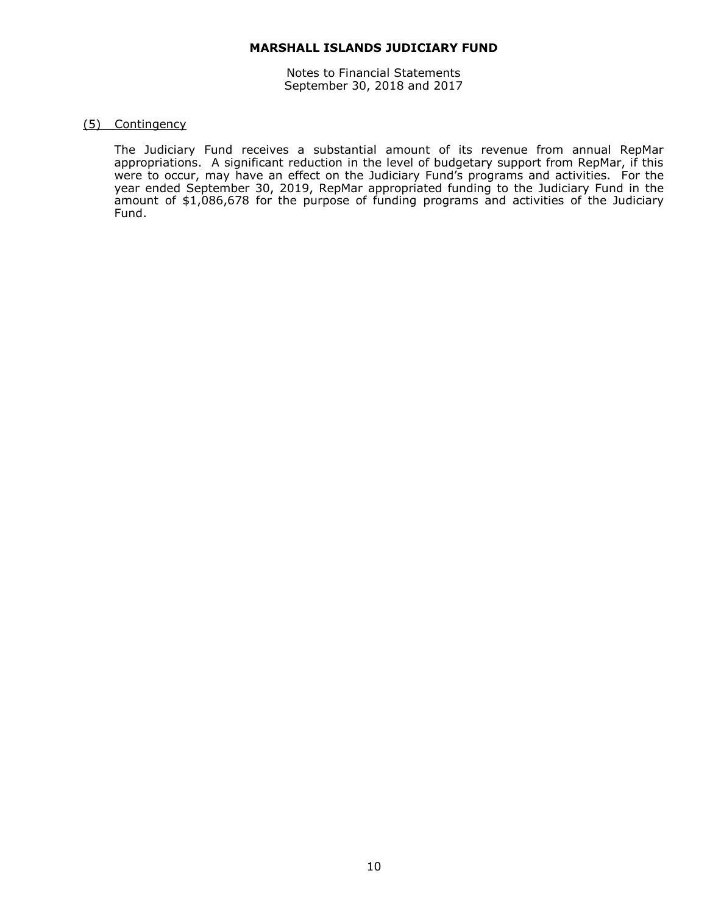Notes to Financial Statements September 30, 2018 and 2017

#### (5) Contingency

The Judiciary Fund receives a substantial amount of its revenue from annual RepMar appropriations. A significant reduction in the level of budgetary support from RepMar, if this were to occur, may have an effect on the Judiciary Fund's programs and activities. For the year ended September 30, 2019, RepMar appropriated funding to the Judiciary Fund in the amount of \$1,086,678 for the purpose of funding programs and activities of the Judiciary Fund.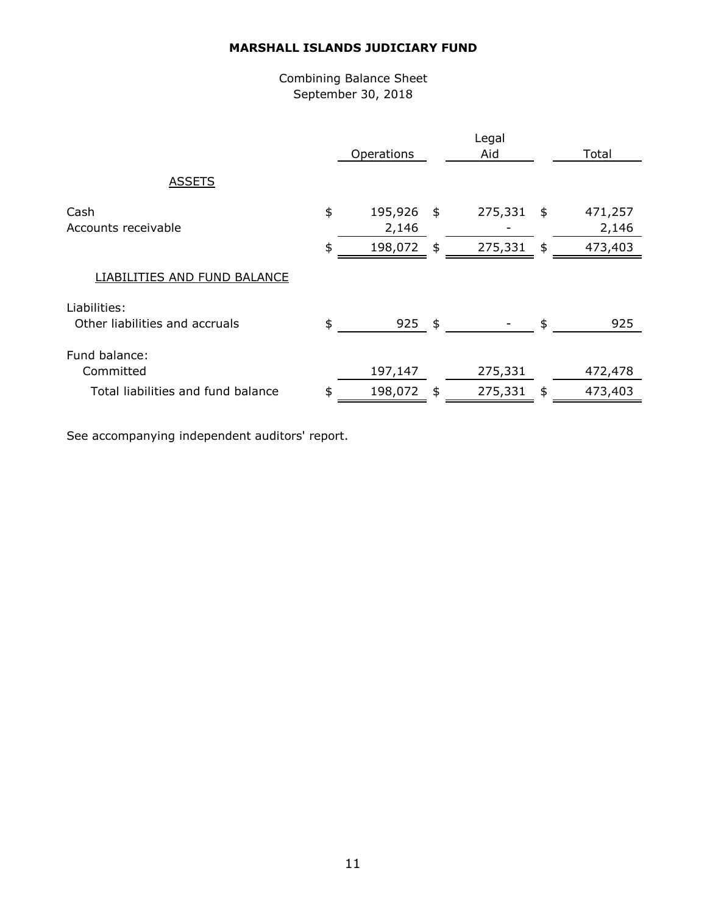# Combining Balance Sheet September 30, 2018

|                                                |          | Operations                  |                                | Legal<br>Aid       |                                | Total                       |
|------------------------------------------------|----------|-----------------------------|--------------------------------|--------------------|--------------------------------|-----------------------------|
| <b>ASSETS</b>                                  |          |                             |                                |                    |                                |                             |
| Cash<br>Accounts receivable                    | \$<br>\$ | 195,926<br>2,146<br>198,072 | $\frac{4}{5}$<br>$\frac{1}{2}$ | 275,331<br>275,331 | $\frac{1}{2}$<br>$\frac{1}{2}$ | 471,257<br>2,146<br>473,403 |
| LIABILITIES AND FUND BALANCE                   |          |                             |                                |                    |                                |                             |
| Liabilities:<br>Other liabilities and accruals | \$       | $925$ \$                    |                                |                    | \$                             | 925                         |
| Fund balance:<br>Committed                     |          | 197,147                     |                                | 275,331            |                                | 472,478                     |
| Total liabilities and fund balance             | \$       | 198,072                     | $\frac{4}{5}$                  | 275,331            | $\frac{1}{2}$                  | 473,403                     |

See accompanying independent auditors' report.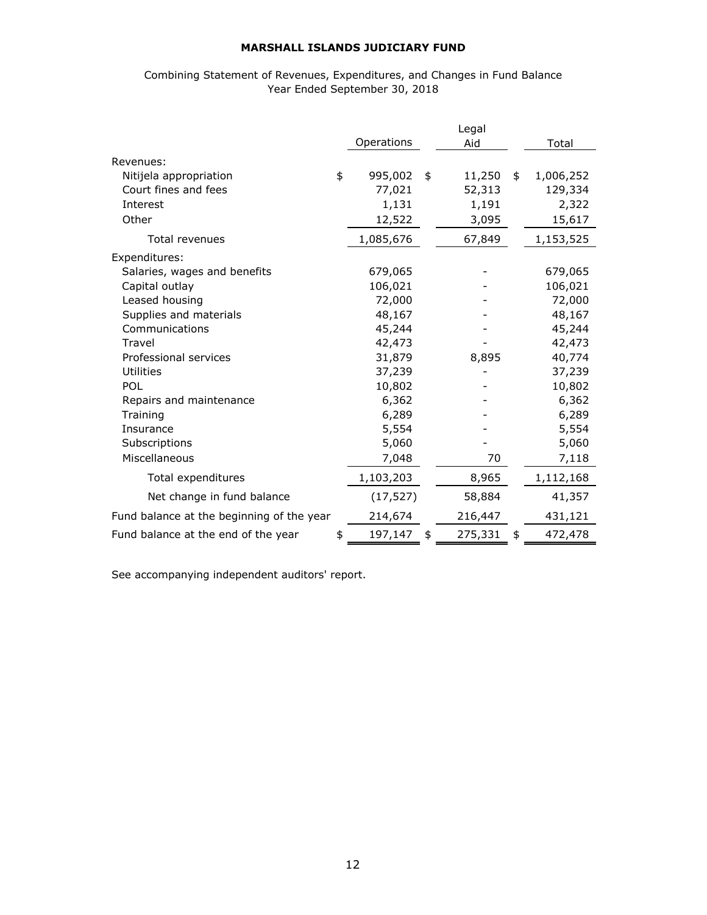## Combining Statement of Revenues, Expenditures, and Changes in Fund Balance Year Ended September 30, 2018

|                                           |               | Legal         |                 |
|-------------------------------------------|---------------|---------------|-----------------|
|                                           | Operations    | Aid           | Total           |
| Revenues:                                 |               |               |                 |
| Nitijela appropriation                    | \$<br>995,002 | \$<br>11,250  | \$<br>1,006,252 |
| Court fines and fees                      | 77,021        | 52,313        | 129,334         |
| Interest                                  | 1,131         | 1,191         | 2,322           |
| Other                                     | 12,522        | 3,095         | 15,617          |
| <b>Total revenues</b>                     | 1,085,676     | 67,849        | 1,153,525       |
| Expenditures:                             |               |               |                 |
| Salaries, wages and benefits              | 679,065       |               | 679,065         |
| Capital outlay                            | 106,021       |               | 106,021         |
| Leased housing                            | 72,000        |               | 72,000          |
| Supplies and materials                    | 48,167        |               | 48,167          |
| Communications                            | 45,244        |               | 45,244          |
| Travel                                    | 42,473        |               | 42,473          |
| Professional services                     | 31,879        | 8,895         | 40,774          |
| <b>Utilities</b>                          | 37,239        |               | 37,239          |
| POL                                       | 10,802        |               | 10,802          |
| Repairs and maintenance                   | 6,362         |               | 6,362           |
| Training                                  | 6,289         |               | 6,289           |
| Insurance                                 | 5,554         |               | 5,554           |
| Subscriptions                             | 5,060         |               | 5,060           |
| Miscellaneous                             | 7,048         | 70            | 7,118           |
| Total expenditures                        | 1,103,203     | 8,965         | 1,112,168       |
| Net change in fund balance                | (17, 527)     | 58,884        | 41,357          |
| Fund balance at the beginning of the year | 214,674       | 216,447       | 431,121         |
| Fund balance at the end of the year       | \$<br>197,147 | \$<br>275,331 | \$<br>472,478   |

See accompanying independent auditors' report.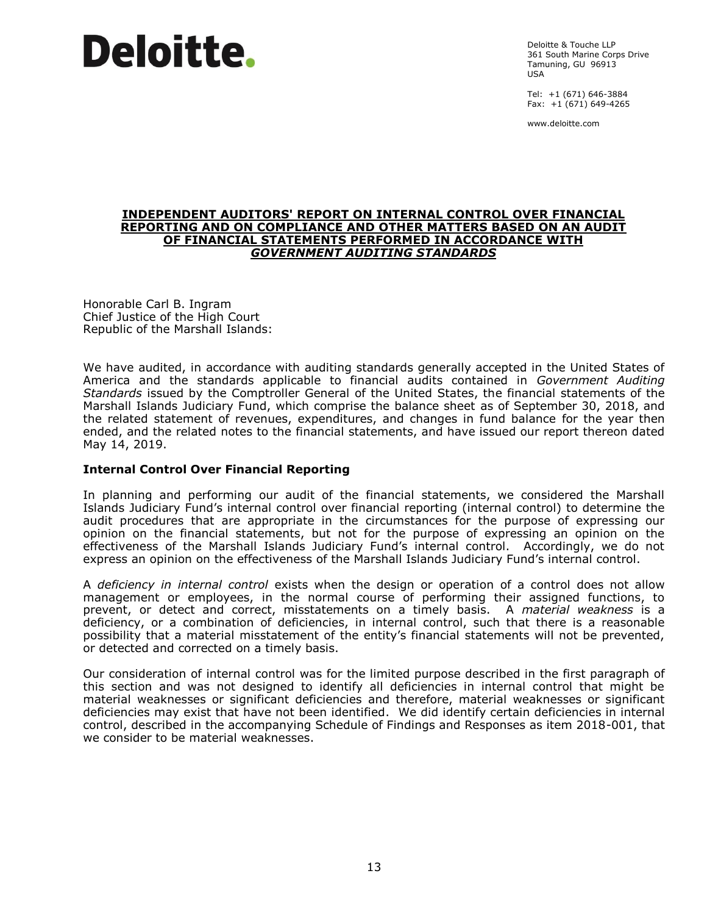Deloitte & Touche LLP 361 South Marine Corps Drive Tamuning, GU 96913 USA

Tel: +1 (671) 646-3884 Fax:  $+1(671)$  649-4265

www.deloitte.com

#### **INDEPENDENT AUDITORS' REPORT ON INTERNAL CONTROL OVER FINANCIAL REPORTING AND ON COMPLIANCE AND OTHER MATTERS BASED ON AN AUDIT OF FINANCIAL STATEMENTS PERFORMED IN ACCORDANCE WITH** *GOVERNMENT AUDITING STANDARDS*

Honorable Carl B. Ingram Chief Justice of the High Court Republic of the Marshall Islands:

We have audited, in accordance with auditing standards generally accepted in the United States of America and the standards applicable to financial audits contained in *Government Auditing Standards* issued by the Comptroller General of the United States, the financial statements of the Marshall Islands Judiciary Fund, which comprise the balance sheet as of September 30, 2018, and the related statement of revenues, expenditures, and changes in fund balance for the year then ended, and the related notes to the financial statements, and have issued our report thereon dated May 14, 2019.

#### **Internal Control Over Financial Reporting**

In planning and performing our audit of the financial statements, we considered the Marshall Islands Judiciary Fund's internal control over financial reporting (internal control) to determine the audit procedures that are appropriate in the circumstances for the purpose of expressing our opinion on the financial statements, but not for the purpose of expressing an opinion on the effectiveness of the Marshall Islands Judiciary Fund's internal control. Accordingly, we do not express an opinion on the effectiveness of the Marshall Islands Judiciary Fund's internal control.

A *deficiency in internal control* exists when the design or operation of a control does not allow management or employees, in the normal course of performing their assigned functions, to prevent, or detect and correct, misstatements on a timely basis. A *material weakness* is a deficiency, or a combination of deficiencies, in internal control, such that there is a reasonable possibility that a material misstatement of the entity's financial statements will not be prevented, or detected and corrected on a timely basis.

Our consideration of internal control was for the limited purpose described in the first paragraph of this section and was not designed to identify all deficiencies in internal control that might be material weaknesses or significant deficiencies and therefore, material weaknesses or significant deficiencies may exist that have not been identified. We did identify certain deficiencies in internal control, described in the accompanying Schedule of Findings and Responses as item 2018-001, that we consider to be material weaknesses.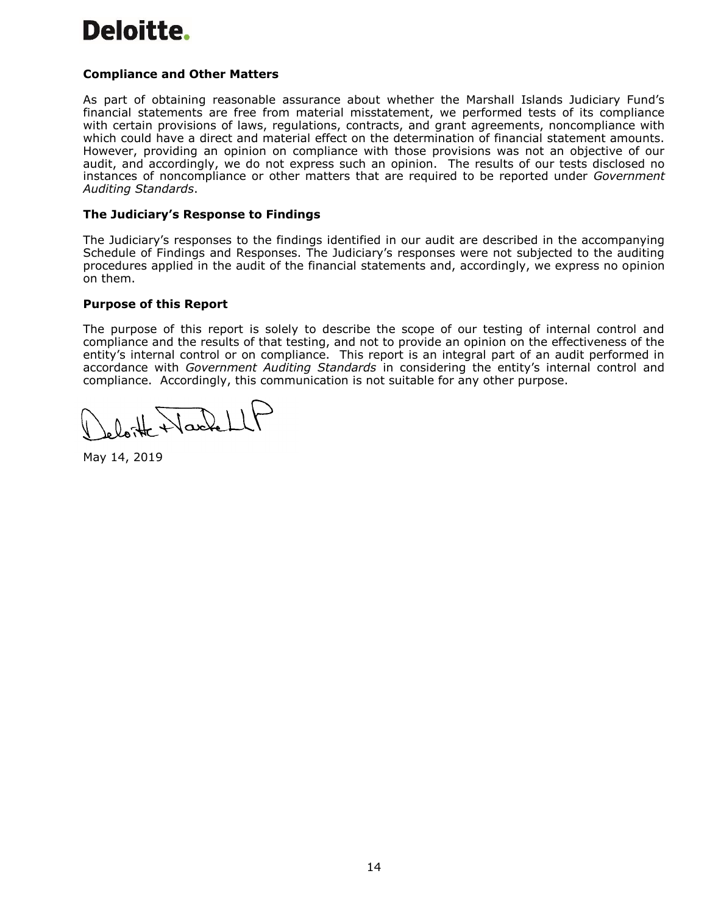## **Compliance and Other Matters**

As part of obtaining reasonable assurance about whether the Marshall Islands Judiciary Fund's financial statements are free from material misstatement, we performed tests of its compliance with certain provisions of laws, regulations, contracts, and grant agreements, noncompliance with which could have a direct and material effect on the determination of financial statement amounts. However, providing an opinion on compliance with those provisions was not an objective of our audit, and accordingly, we do not express such an opinion. The results of our tests disclosed no instances of noncompliance or other matters that are required to be reported under *Government Auditing Standards*.

#### **The Judiciary's Response to Findings**

The Judiciary's responses to the findings identified in our audit are described in the accompanying Schedule of Findings and Responses. The Judiciary's responses were not subjected to the auditing procedures applied in the audit of the financial statements and, accordingly, we express no opinion on them.

#### **Purpose of this Report**

The purpose of this report is solely to describe the scope of our testing of internal control and compliance and the results of that testing, and not to provide an opinion on the effectiveness of the entity's internal control or on compliance. This report is an integral part of an audit performed in accordance with *Government Auditing Standards* in considering the entity's internal control and compliance. Accordingly, this communication is not suitable for any other purpose.

loite Wackell

May 14, 2019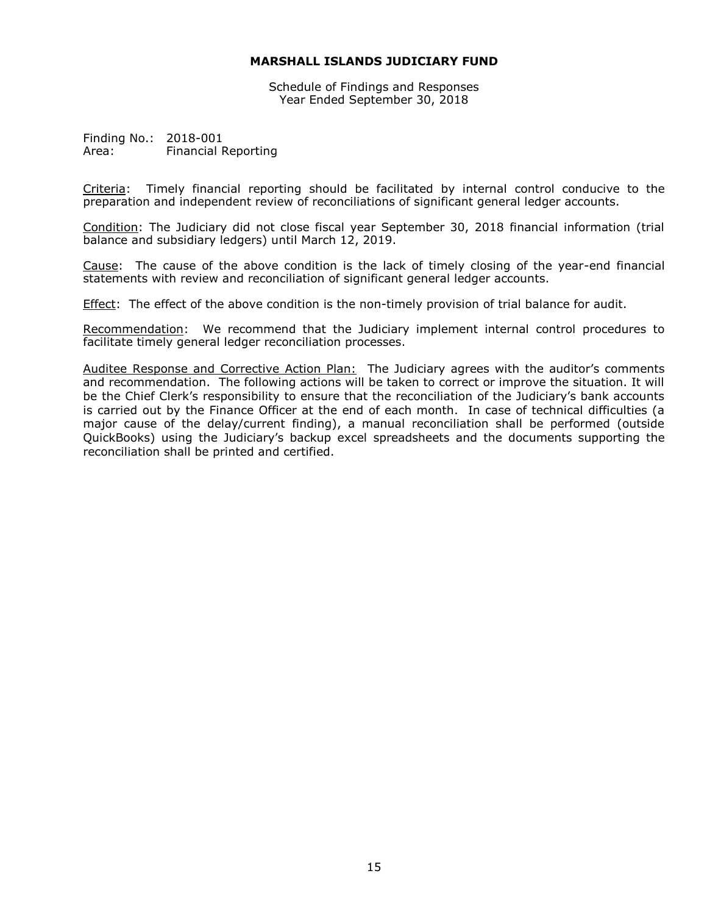Schedule of Findings and Responses Year Ended September 30, 2018

Finding No.: 2018-001 Area: Financial Reporting

Criteria: Timely financial reporting should be facilitated by internal control conducive to the preparation and independent review of reconciliations of significant general ledger accounts.

Condition: The Judiciary did not close fiscal year September 30, 2018 financial information (trial balance and subsidiary ledgers) until March 12, 2019.

Cause: The cause of the above condition is the lack of timely closing of the year-end financial statements with review and reconciliation of significant general ledger accounts.

**Effect:** The effect of the above condition is the non-timely provision of trial balance for audit.

Recommendation: We recommend that the Judiciary implement internal control procedures to facilitate timely general ledger reconciliation processes.

Auditee Response and Corrective Action Plan: The Judiciary agrees with the auditor's comments and recommendation. The following actions will be taken to correct or improve the situation. It will be the Chief Clerk's responsibility to ensure that the reconciliation of the Judiciary's bank accounts is carried out by the Finance Officer at the end of each month. In case of technical difficulties (a major cause of the delay/current finding), a manual reconciliation shall be performed (outside QuickBooks) using the Judiciary's backup excel spreadsheets and the documents supporting the reconciliation shall be printed and certified.